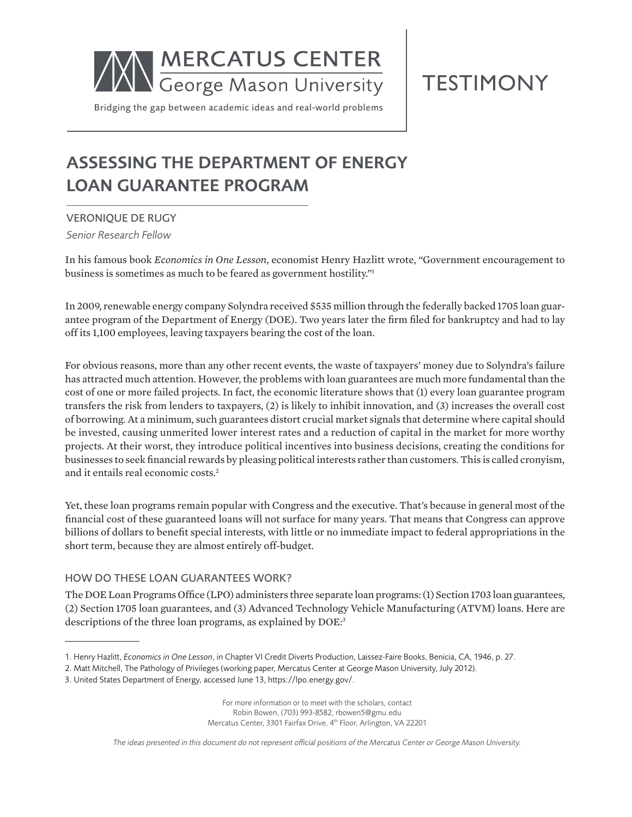

# **TESTIMONY**

Bridging the gap between academic ideas and real-world problems

# ASSESSING THE DEPARTMENT OF ENERGY LOAN GUARANTEE PROGRAM

VERONIQUE DE RUGY

*Senior Research Fellow*

In his famous book *Economics in One Lesson*, economist Henry Hazlitt wrote, "Government encouragement to business is sometimes as much to be feared as government hostility."1

In 2009, renewable energy company Solyndra received \$535 million through the federally backed 1705 loan guarantee program of the Department of Energy (DOE). Two years later the firm filed for bankruptcy and had to lay off its 1,100 employees, leaving taxpayers bearing the cost of the loan.

For obvious reasons, more than any other recent events, the waste of taxpayers' money due to Solyndra's failure has attracted much attention. However, the problems with loan guarantees are much more fundamental than the cost of one or more failed projects. In fact, the economic literature shows that (1) every loan guarantee program transfers the risk from lenders to taxpayers, (2) is likely to inhibit innovation, and (3) increases the overall cost of borrowing. At a minimum, such guarantees distort crucial market signals that determine where capital should be invested, causing unmerited lower interest rates and a reduction of capital in the market for more worthy projects. At their worst, they introduce political incentives into business decisions, creating the conditions for businesses to seek financial rewards by pleasing political interests rather than customers. This is called cronyism, and it entails real economic costs.2

Yet, these loan programs remain popular with Congress and the executive. That's because in general most of the financial cost of these guaranteed loans will not surface for many years. That means that Congress can approve billions of dollars to benefit special interests, with little or no immediate impact to federal appropriations in the short term, because they are almost entirely off-budget.

## HOW DO THESE LOAN GUARANTEES WORK?

The DOE Loan Programs Office (LPO) administers three separate loan programs: (1) Section 1703 loan guarantees, (2) Section 1705 loan guarantees, and (3) Advanced Technology Vehicle Manufacturing (ATVM) loans. Here are descriptions of the three loan programs, as explained by DOE:<sup>3</sup>

For more information or to meet with the scholars, contact Robin Bowen, (703) 993-8582, rbowen5@gmu.edu Mercatus Center, 3301 Fairfax Drive, 4th Floor, Arlington, VA 22201

*The ideas presented in this document do not represent official positions of the Mercatus Center or George Mason University.*

<sup>1.</sup> Henry Hazlitt, *Economics in One Lesson*, in Chapter VI Credit Diverts Production, Laissez-Faire Books, Benicia, CA, 1946, p. 27.

<sup>2.</sup> Matt Mitchell, The Pathology of Privileges (working paper, Mercatus Center at George Mason University, July 2012).

<sup>3.</sup> United States Department of Energy, accessed June 13, https://lpo.energy.gov/.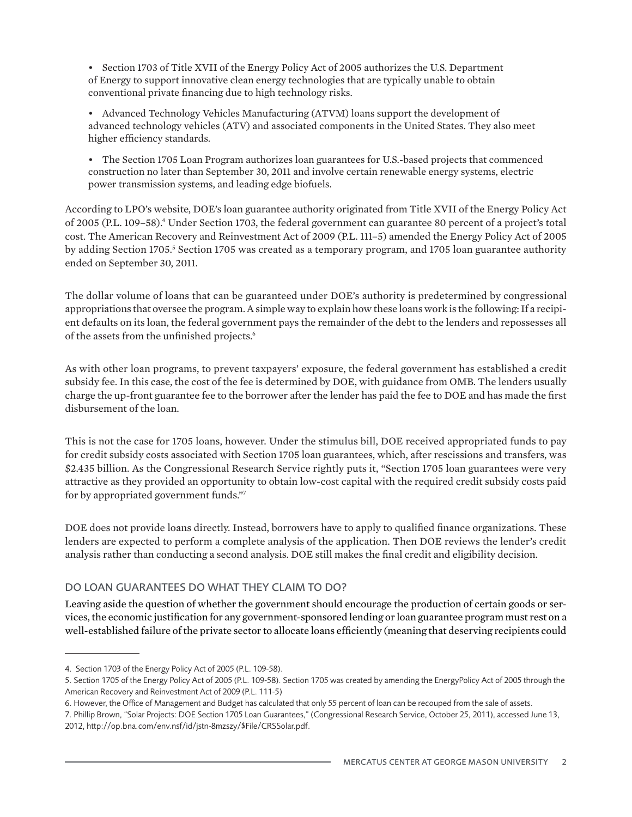• Section 1703 of Title XVII of the Energy Policy Act of 2005 authorizes the U.S. Department of Energy to support innovative clean energy technologies that are typically unable to obtain conventional private financing due to high technology risks.

• Advanced Technology Vehicles Manufacturing (ATVM) loans support the development of advanced technology vehicles (ATV) and associated components in the United States. They also meet higher efficiency standards.

• The Section 1705 Loan Program authorizes loan guarantees for U.S.-based projects that commenced construction no later than September 30, 2011 and involve certain renewable energy systems, electric power transmission systems, and leading edge biofuels.

According to LPO's website, DOE's loan guarantee authority originated from Title XVII of the Energy Policy Act of 2005 (P.L. 109–58).<sup>4</sup> Under Section 1703, the federal government can guarantee 80 percent of a project's total cost. The American Recovery and Reinvestment Act of 2009 (P.L. 111–5) amended the Energy Policy Act of 2005 by adding Section 1705.<sup>5</sup> Section 1705 was created as a temporary program, and 1705 loan guarantee authority ended on September 30, 2011.

The dollar volume of loans that can be guaranteed under DOE's authority is predetermined by congressional appropriations that oversee the program. A simple way to explain how these loans work is the following: If a recipient defaults on its loan, the federal government pays the remainder of the debt to the lenders and repossesses all of the assets from the unfinished projects.<sup>6</sup>

As with other loan programs, to prevent taxpayers' exposure, the federal government has established a credit subsidy fee. In this case, the cost of the fee is determined by DOE, with guidance from OMB. The lenders usually charge the up-front guarantee fee to the borrower after the lender has paid the fee to DOE and has made the first disbursement of the loan.

This is not the case for 1705 loans, however. Under the stimulus bill, DOE received appropriated funds to pay for credit subsidy costs associated with Section 1705 loan guarantees, which, after rescissions and transfers, was \$2.435 billion. As the Congressional Research Service rightly puts it, "Section 1705 loan guarantees were very attractive as they provided an opportunity to obtain low-cost capital with the required credit subsidy costs paid for by appropriated government funds."7

DOE does not provide loans directly. Instead, borrowers have to apply to qualified finance organizations. These lenders are expected to perform a complete analysis of the application. Then DOE reviews the lender's credit analysis rather than conducting a second analysis. DOE still makes the final credit and eligibility decision.

## DO LOAN GUARANTEES DO WHAT THEY CLAIM TO DO?

Leaving aside the question of whether the government should encourage the production of certain goods or services, the economic justification for any government-sponsored lending or loan guarantee program must rest on a well-established failure of the private sector to allocate loans efficiently (meaning that deserving recipients could

<sup>4.</sup> Section 1703 of the Energy Policy Act of 2005 (P.L. 109-58).

<sup>5.</sup> Section 1705 of the Energy Policy Act of 2005 (P.L. 109-58). Section 1705 was created by amending the EnergyPolicy Act of 2005 through the American Recovery and Reinvestment Act of 2009 (P.L. 111-5)

<sup>6.</sup> However, the Office of Management and Budget has calculated that only 55 percent of loan can be recouped from the sale of assets.

<sup>7.</sup> Phillip Brown, "Solar Projects: DOE Section 1705 Loan Guarantees," (Congressional Research Service, October 25, 2011), accessed June 13, 2012, http://op.bna.com/env.nsf/id/jstn-8mzszy/\$File/CRSSolar.pdf.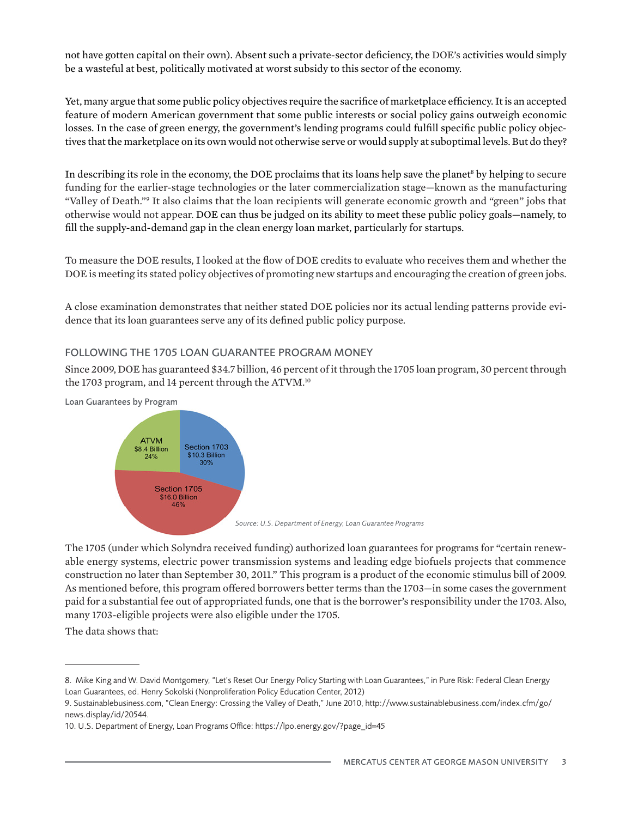not have gotten capital on their own). Absent such a private-sector deficiency, the DOE's activities would simply be a wasteful at best, politically motivated at worst subsidy to this sector of the economy.

Yet, many argue that some public policy objectives require the sacrifice of marketplace efficiency. It is an accepted feature of modern American government that some public interests or social policy gains outweigh economic losses. In the case of green energy, the government's lending programs could fulfill specific public policy objectives that the marketplace on its own would not otherwise serve or would supply at suboptimal levels. But do they?

In describing its role in the economy, the DOE proclaims that its loans help save the planet<sup>8</sup> by helping to secure funding for the earlier-stage technologies or the later commercialization stage—known as the manufacturing "Valley of Death."<sup>9</sup> It also claims that the loan recipients will generate economic growth and "green" jobs that otherwise would not appear. DOE can thus be judged on its ability to meet these public policy goals—namely, to fill the supply-and-demand gap in the clean energy loan market, particularly for startups.

To measure the DOE results, I looked at the flow of DOE credits to evaluate who receives them and whether the DOE is meeting its stated policy objectives of promoting new startups and encouraging the creation of green jobs.

A close examination demonstrates that neither stated DOE policies nor its actual lending patterns provide evidence that its loan guarantees serve any of its defined public policy purpose.

#### FOLLOWING THE 1705 LOAN GUARANTEE PROGRAM MONEY

Since 2009, DOE has guaranteed \$34.7 billion, 46 percent of it through the 1705 loan program, 30 percent through the 1703 program, and 14 percent through the ATVM.<sup>10</sup>



The 1705 (under which Solyndra received funding) authorized loan guarantees for programs for "certain renewable energy systems, electric power transmission systems and leading edge biofuels projects that commence construction no later than September 30, 2011." This program is a product of the economic stimulus bill of 2009. As mentioned before, this program offered borrowers better terms than the 1703—in some cases the government paid for a substantial fee out of appropriated funds, one that is the borrower's responsibility under the 1703. Also, many 1703-eligible projects were also eligible under the 1705.

The data shows that:

<sup>8.</sup> Mike King and W. David Montgomery, "Let's Reset Our Energy Policy Starting with Loan Guarantees," in Pure Risk: Federal Clean Energy Loan Guarantees, ed. Henry Sokolski (Nonproliferation Policy Education Center, 2012)

<sup>9.</sup> Sustainablebusiness.com, "Clean Energy: Crossing the Valley of Death," June 2010, http://www.sustainablebusiness.com/index.cfm/go/ news.display/id/20544.

<sup>10.</sup> U.S. Department of Energy, Loan Programs Office: https://lpo.energy.gov/?page\_id=45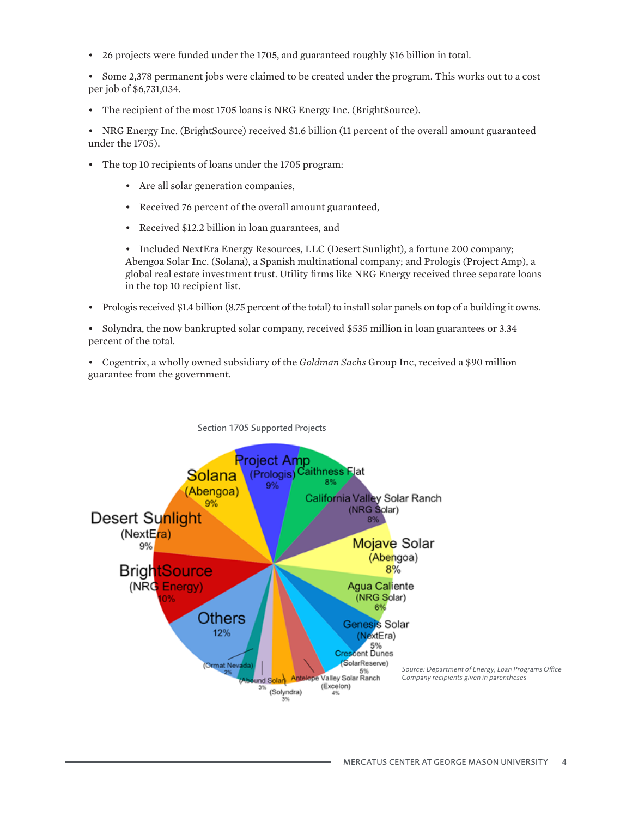• 26 projects were funded under the 1705, and guaranteed roughly \$16 billion in total.

• Some 2,378 permanent jobs were claimed to be created under the program. This works out to a cost per job of \$6,731,034.

• The recipient of the most 1705 loans is NRG Energy Inc. (BrightSource).

• NRG Energy Inc. (BrightSource) received \$1.6 billion (11 percent of the overall amount guaranteed under the 1705).

- The top 10 recipients of loans under the 1705 program:
	- Are all solar generation companies,
	- Received 76 percent of the overall amount guaranteed,
	- Received \$12.2 billion in loan guarantees, and

• Included NextEra Energy Resources, LLC (Desert Sunlight), a fortune 200 company; Abengoa Solar Inc. (Solana), a Spanish multinational company; and Prologis (Project Amp), a global real estate investment trust. Utility firms like NRG Energy received three separate loans in the top 10 recipient list.

• Prologis received \$1.4 billion (8.75 percent of the total) to install solar panels on top of a building it owns.

• Solyndra, the now bankrupted solar company, received \$535 million in loan guarantees or 3.34 percent of the total.

• Cogentrix, a wholly owned subsidiary of the *Goldman Sachs* Group Inc, received a \$90 million guarantee from the government.

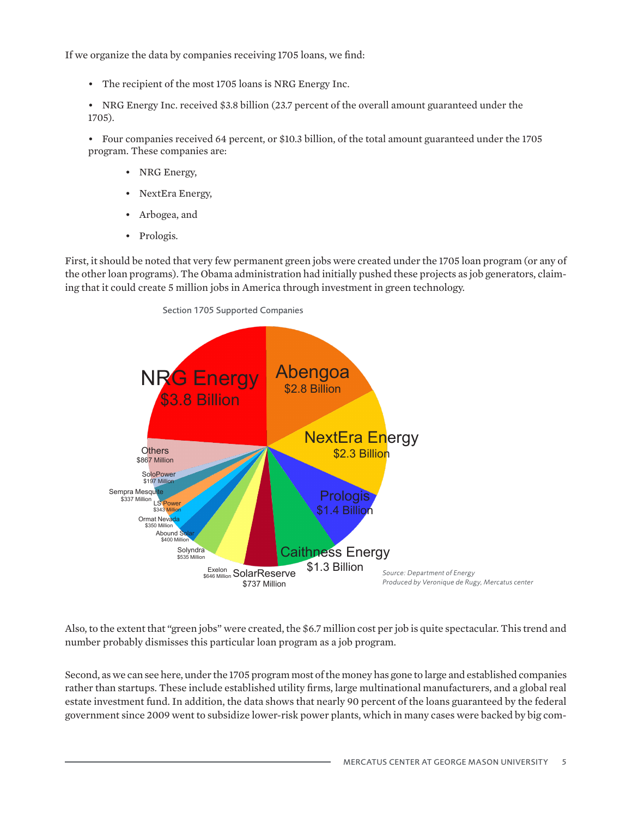If we organize the data by companies receiving 1705 loans, we find:

• The recipient of the most 1705 loans is NRG Energy Inc.

• NRG Energy Inc. received \$3.8 billion (23.7 percent of the overall amount guaranteed under the 1705).

• Four companies received 64 percent, or \$10.3 billion, of the total amount guaranteed under the 1705 program. These companies are:

- NRG Energy,
- NextEra Energy,
- Arbogea, and
- Prologis.

First, it should be noted that very few permanent green jobs were created under the 1705 loan program (or any of the other loan programs). The Obama administration had initially pushed these projects as job generators, claiming that it could create 5 million jobs in America through investment in green technology.





Also, to the extent that "green jobs" were created, the \$6.7 million cost per job is quite spectacular. This trend and number probably dismisses this particular loan program as a job program.

Second, as we can see here, under the 1705 program most of the money has gone to large and established companies rather than startups. These include established utility firms, large multinational manufacturers, and a global real estate investment fund. In addition, the data shows that nearly 90 percent of the loans guaranteed by the federal government since 2009 went to subsidize lower-risk power plants, which in many cases were backed by big com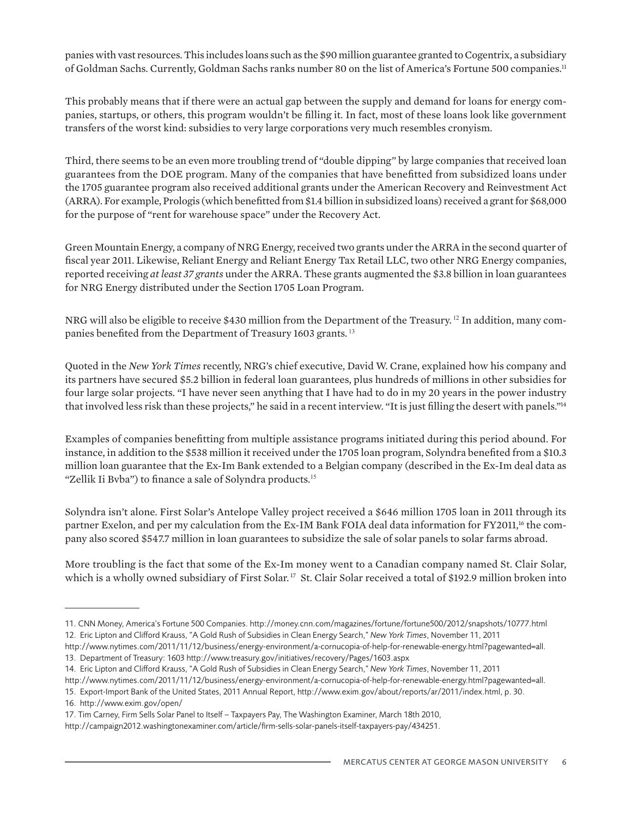panies with vast resources. This includes loans such as the \$90 million guarantee granted to Cogentrix, a subsidiary of Goldman Sachs. Currently, Goldman Sachs ranks number 80 on the list of America's Fortune 500 companies.<sup>11</sup>

This probably means that if there were an actual gap between the supply and demand for loans for energy companies, startups, or others, this program wouldn't be filling it. In fact, most of these loans look like government transfers of the worst kind: subsidies to very large corporations very much resembles cronyism.

Third, there seems to be an even more troubling trend of "double dipping" by large companies that received loan guarantees from the DOE program. Many of the companies that have benefitted from subsidized loans under the 1705 guarantee program also received additional grants under the American Recovery and Reinvestment Act (ARRA). For example, Prologis (which benefitted from \$1.4 billion in subsidized loans) received a grant for \$68,000 for the purpose of "rent for warehouse space" under the Recovery Act.

Green Mountain Energy, a company of NRG Energy, received two grants under the ARRA in the second quarter of fiscal year 2011. Likewise, Reliant Energy and Reliant Energy Tax Retail LLC, two other NRG Energy companies, reported receiving *at least 37 grants* under the ARRA. These grants augmented the \$3.8 billion in loan guarantees for NRG Energy distributed under the Section 1705 Loan Program.

NRG will also be eligible to receive \$430 million from the Department of the Treasury. <sup>12</sup> In addition, many companies benefited from the Department of Treasury 1603 grants.<sup>13</sup>

Quoted in the *New York Times* recently, NRG's chief executive, David W. Crane, explained how his company and its partners have secured \$5.2 billion in federal loan guarantees, plus hundreds of millions in other subsidies for four large solar projects. "I have never seen anything that I have had to do in my 20 years in the power industry that involved less risk than these projects," he said in a recent interview. "It is just filling the desert with panels."<sup>14</sup>

Examples of companies benefitting from multiple assistance programs initiated during this period abound. For instance, in addition to the \$538 million it received under the 1705 loan program, Solyndra benefited from a \$10.3 million loan guarantee that the Ex-Im Bank extended to a Belgian company (described in the Ex-Im deal data as "Zellik Ii Bvba") to finance a sale of Solyndra products.<sup>15</sup>

Solyndra isn't alone. First Solar's Antelope Valley project received a \$646 million 1705 loan in 2011 through its partner Exelon, and per my calculation from the Ex-IM Bank FOIA deal data information for FY2011,<sup>16</sup> the company also scored \$547.7 million in loan guarantees to subsidize the sale of solar panels to solar farms abroad.

More troubling is the fact that some of the Ex-Im money went to a Canadian company named St. Clair Solar, which is a wholly owned subsidiary of First Solar.<sup>17</sup> St. Clair Solar received a total of \$192.9 million broken into

http://www.nytimes.com/2011/11/12/business/energy-environment/a-cornucopia-of-help-for-renewable-energy.html?pagewanted=all.

16. http://www.exim.gov/open/

<sup>11.</sup> CNN Money, America's Fortune 500 Companies. http://money.cnn.com/magazines/fortune/fortune500/2012/snapshots/10777.html 12. Eric Lipton and Clifford Krauss, "A Gold Rush of Subsidies in Clean Energy Search," *New York Times*, November 11, 2011

http://www.nytimes.com/2011/11/12/business/energy-environment/a-cornucopia-of-help-for-renewable-energy.html?pagewanted=all. 13. Department of Treasury: 1603 http://www.treasury.gov/initiatives/recovery/Pages/1603.aspx

<sup>14.</sup> Eric Lipton and Clifford Krauss, "A Gold Rush of Subsidies in Clean Energy Search," *New York Times*, November 11, 2011

<sup>15.</sup> Export-Import Bank of the United States, 2011 Annual Report, http://www.exim.gov/about/reports/ar/2011/index.html, p. 30.

<sup>17.</sup> Tim Carney, Firm Sells Solar Panel to Itself – Taxpayers Pay, The Washington Examiner, March 18th 2010,

http://campaign2012.washingtonexaminer.com/article/firm-sells-solar-panels-itself-taxpayers-pay/434251.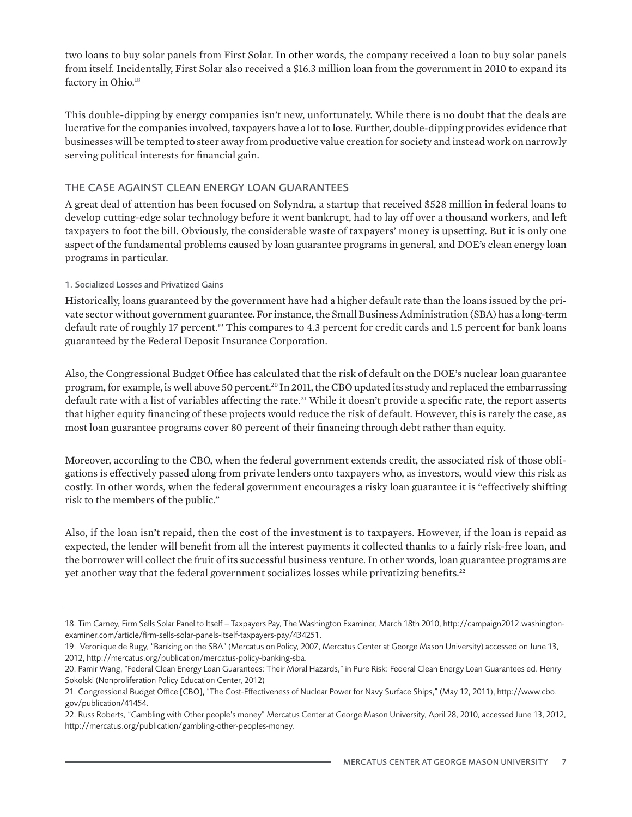two loans to buy solar panels from First Solar. In other words, the company received a loan to buy solar panels from itself. Incidentally, First Solar also received a \$16.3 million loan from the government in 2010 to expand its factory in Ohio.<sup>18</sup>

This double-dipping by energy companies isn't new, unfortunately. While there is no doubt that the deals are lucrative for the companies involved, taxpayers have a lot to lose. Further, double-dipping provides evidence that businesses will be tempted to steer away from productive value creation for society and instead work on narrowly serving political interests for financial gain.

# THE CASE AGAINST CLEAN ENERGY LOAN GUARANTEES

A great deal of attention has been focused on Solyndra, a startup that received \$528 million in federal loans to develop cutting-edge solar technology before it went bankrupt, had to lay off over a thousand workers, and left taxpayers to foot the bill. Obviously, the considerable waste of taxpayers' money is upsetting. But it is only one aspect of the fundamental problems caused by loan guarantee programs in general, and DOE's clean energy loan programs in particular.

#### 1. Socialized Losses and Privatized Gains

Historically, loans guaranteed by the government have had a higher default rate than the loans issued by the private sector without government guarantee. For instance, the Small Business Administration (SBA) has a long-term default rate of roughly 17 percent.19 This compares to 4.3 percent for credit cards and 1.5 percent for bank loans guaranteed by the Federal Deposit Insurance Corporation.

Also, the Congressional Budget Office has calculated that the risk of default on the DOE's nuclear loan guarantee program, for example, is well above 50 percent.<sup>20</sup> In 2011, the CBO updated its study and replaced the embarrassing default rate with a list of variables affecting the rate.<sup>21</sup> While it doesn't provide a specific rate, the report asserts that higher equity financing of these projects would reduce the risk of default. However, this is rarely the case, as most loan guarantee programs cover 80 percent of their financing through debt rather than equity.

Moreover, according to the CBO, when the federal government extends credit, the associated risk of those obligations is effectively passed along from private lenders onto taxpayers who, as investors, would view this risk as costly. In other words, when the federal government encourages a risky loan guarantee it is "effectively shifting risk to the members of the public."

Also, if the loan isn't repaid, then the cost of the investment is to taxpayers. However, if the loan is repaid as expected, the lender will benefit from all the interest payments it collected thanks to a fairly risk-free loan, and the borrower will collect the fruit of its successful business venture. In other words, loan guarantee programs are yet another way that the federal government socializes losses while privatizing benefits.<sup>22</sup>

<sup>18.</sup> Tim Carney, Firm Sells Solar Panel to Itself – Taxpayers Pay, The Washington Examiner, March 18th 2010, http://campaign2012.washingtonexaminer.com/article/firm-sells-solar-panels-itself-taxpayers-pay/434251.

<sup>19.</sup> Veronique de Rugy, "Banking on the SBA" (Mercatus on Policy, 2007, Mercatus Center at George Mason University) accessed on June 13, 2012, http://mercatus.org/publication/mercatus-policy-banking-sba.

<sup>20.</sup> Pamir Wang, "Federal Clean Energy Loan Guarantees: Their Moral Hazards," in Pure Risk: Federal Clean Energy Loan Guarantees ed. Henry Sokolski (Nonproliferation Policy Education Center, 2012)

<sup>21.</sup> Congressional Budget Office [CBO], "The Cost-Effectiveness of Nuclear Power for Navy Surface Ships," (May 12, 2011), http://www.cbo. gov/publication/41454.

<sup>22.</sup> Russ Roberts, "Gambling with Other people's money" Mercatus Center at George Mason University, April 28, 2010, accessed June 13, 2012, http://mercatus.org/publication/gambling-other-peoples-money.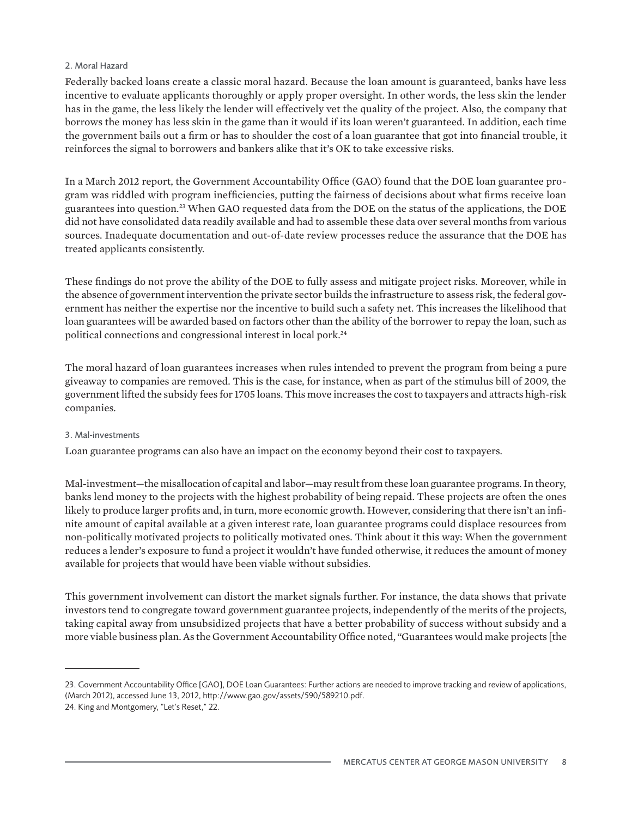#### 2. Moral Hazard

Federally backed loans create a classic moral hazard. Because the loan amount is guaranteed, banks have less incentive to evaluate applicants thoroughly or apply proper oversight. In other words, the less skin the lender has in the game, the less likely the lender will effectively vet the quality of the project. Also, the company that borrows the money has less skin in the game than it would if its loan weren't guaranteed. In addition, each time the government bails out a firm or has to shoulder the cost of a loan guarantee that got into financial trouble, it reinforces the signal to borrowers and bankers alike that it's OK to take excessive risks.

In a March 2012 report, the Government Accountability Office (GAO) found that the DOE loan guarantee program was riddled with program inefficiencies, putting the fairness of decisions about what firms receive loan guarantees into question.23 When GAO requested data from the DOE on the status of the applications, the DOE did not have consolidated data readily available and had to assemble these data over several months from various sources. Inadequate documentation and out-of-date review processes reduce the assurance that the DOE has treated applicants consistently.

These findings do not prove the ability of the DOE to fully assess and mitigate project risks. Moreover, while in the absence of government intervention the private sector builds the infrastructure to assess risk, the federal government has neither the expertise nor the incentive to build such a safety net. This increases the likelihood that loan guarantees will be awarded based on factors other than the ability of the borrower to repay the loan, such as political connections and congressional interest in local pork.24

The moral hazard of loan guarantees increases when rules intended to prevent the program from being a pure giveaway to companies are removed. This is the case, for instance, when as part of the stimulus bill of 2009, the government lifted the subsidy fees for 1705 loans. This move increases the cost to taxpayers and attracts high-risk companies.

#### 3. Mal-investments

Loan guarantee programs can also have an impact on the economy beyond their cost to taxpayers.

Mal-investment—the misallocation of capital and labor—may result from these loan guarantee programs. In theory, banks lend money to the projects with the highest probability of being repaid. These projects are often the ones likely to produce larger profits and, in turn, more economic growth. However, considering that there isn't an infinite amount of capital available at a given interest rate, loan guarantee programs could displace resources from non-politically motivated projects to politically motivated ones. Think about it this way: When the government reduces a lender's exposure to fund a project it wouldn't have funded otherwise, it reduces the amount of money available for projects that would have been viable without subsidies.

This government involvement can distort the market signals further. For instance, the data shows that private investors tend to congregate toward government guarantee projects, independently of the merits of the projects, taking capital away from unsubsidized projects that have a better probability of success without subsidy and a more viable business plan. As the Government Accountability Office noted, "Guarantees would make projects [the

<sup>23.</sup> Government Accountability Office [GAO], DOE Loan Guarantees: Further actions are needed to improve tracking and review of applications, (March 2012), accessed June 13, 2012, http://www.gao.gov/assets/590/589210.pdf.

<sup>24.</sup> King and Montgomery, "Let's Reset," 22.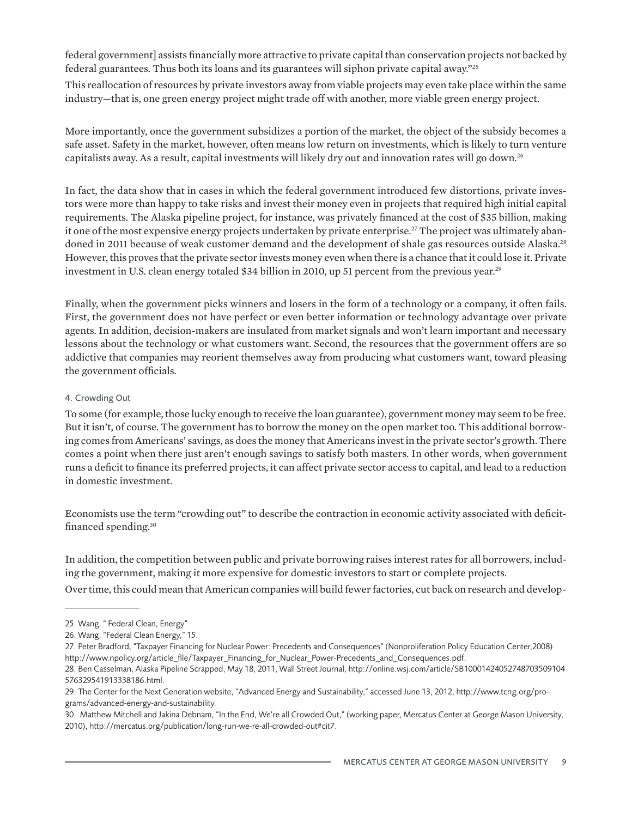federal government] assists financially more attractive to private capital than conservation projects not backed by federal guarantees. Thus both its loans and its guarantees will siphon private capital away."25 This reallocation of resources by private investors away from viable projects may even take place within the same industry—that is, one green energy project might trade off with another, more viable green energy project.

More importantly, once the government subsidizes a portion of the market, the object of the subsidy becomes a safe asset. Safety in the market, however, often means low return on investments, which is likely to turn venture capitalists away. As a result, capital investments will likely dry out and innovation rates will go down.<sup>26</sup>

In fact, the data show that in cases in which the federal government introduced few distortions, private investors were more than happy to take risks and invest their money even in projects that required high initial capital requirements. The Alaska pipeline project, for instance, was privately financed at the cost of \$35 billion, making it one of the most expensive energy projects undertaken by private enterprise.<sup>27</sup> The project was ultimately abandoned in 2011 because of weak customer demand and the development of shale gas resources outside Alaska.<sup>28</sup> However, this proves that the private sector invests money even when there is a chance that it could lose it. Private investment in U.S. clean energy totaled \$34 billion in 2010, up 51 percent from the previous year.<sup>29</sup>

Finally, when the government picks winners and losers in the form of a technology or a company, it often fails. First, the government does not have perfect or even better information or technology advantage over private agents. In addition, decision-makers are insulated from market signals and won't learn important and necessary lessons about the technology or what customers want. Second, the resources that the government offers are so addictive that companies may reorient themselves away from producing what customers want, toward pleasing the government officials.

#### 4. Crowding Out

To some (for example, those lucky enough to receive the loan guarantee), government money may seem to be free. But it isn't, of course. The government has to borrow the money on the open market too. This additional borrowing comes from Americans' savings, as does the money that Americans invest in the private sector's growth. There comes a point when there just aren't enough savings to satisfy both masters. In other words, when government runs a deficit to finance its preferred projects, it can affect private sector access to capital, and lead to a reduction in domestic investment.

Economists use the term "crowding out" to describe the contraction in economic activity associated with deficitfinanced spending.30

In addition, the competition between public and private borrowing raises interest rates for all borrowers, including the government, making it more expensive for domestic investors to start or complete projects.

Over time, this could mean that American companies will build fewer factories, cut back on research and develop-

<sup>25.</sup> Wang, " Federal Clean, Energy"

<sup>26.</sup> Wang, "Federal Clean Energy," 15.

<sup>27.</sup> Peter Bradford, "Taxpayer Financing for Nuclear Power: Precedents and Consequences" (Nonproliferation Policy Education Center,2008) http://www.npolicy.org/article\_file/Taxpayer\_Financing\_for\_Nuclear\_Power-Precedents\_and\_Consequences.pdf.

<sup>28.</sup> Ben Casselman, Alaska Pipeline Scrapped, May 18, 2011, Wall Street Journal, http://online.wsj.com/article/SB10001424052748703509104 576329541913338186.html.

<sup>29.</sup> The Center for the Next Generation website, "Advanced Energy and Sustainability," accessed June 13, 2012, http://www.tcng.org/programs/advanced-energy-and-sustainability.

<sup>30.</sup> Matthew Mitchell and Jakina Debnam, "In the End, We're all Crowded Out," (working paper, Mercatus Center at George Mason University, 2010), http://mercatus.org/publication/long-run-we-re-all-crowded-out#cit7.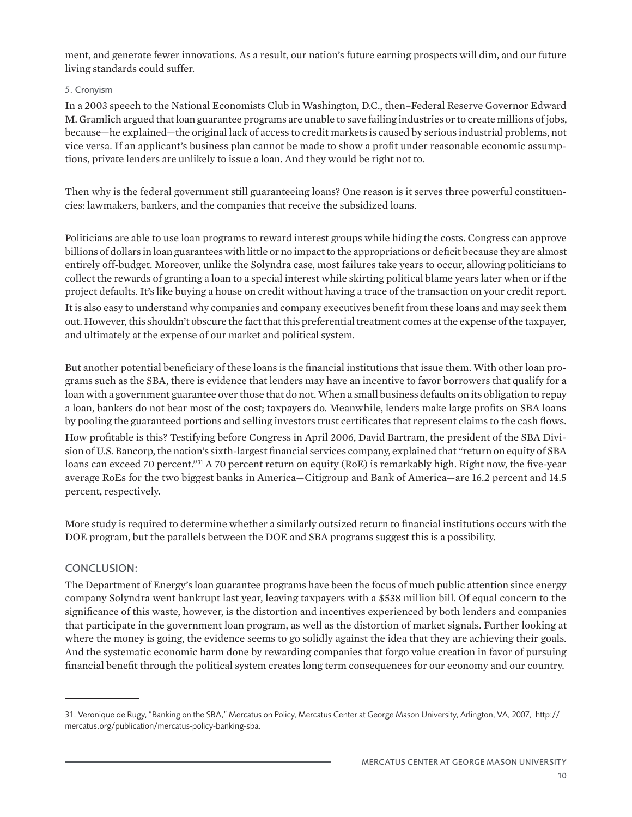ment, and generate fewer innovations. As a result, our nation's future earning prospects will dim, and our future living standards could suffer.

#### 5. Cronyism

In a 2003 speech to the National Economists Club in Washington, D.C., then–Federal Reserve Governor Edward M. Gramlich argued that loan guarantee programs are unable to save failing industries or to create millions of jobs, because—he explained—the original lack of access to credit markets is caused by serious industrial problems, not vice versa. If an applicant's business plan cannot be made to show a profit under reasonable economic assumptions, private lenders are unlikely to issue a loan. And they would be right not to.

Then why is the federal government still guaranteeing loans? One reason is it serves three powerful constituencies: lawmakers, bankers, and the companies that receive the subsidized loans.

Politicians are able to use loan programs to reward interest groups while hiding the costs. Congress can approve billions of dollars in loan guarantees with little or no impact to the appropriations or deficit because they are almost entirely off-budget. Moreover, unlike the Solyndra case, most failures take years to occur, allowing politicians to collect the rewards of granting a loan to a special interest while skirting political blame years later when or if the project defaults. It's like buying a house on credit without having a trace of the transaction on your credit report. It is also easy to understand why companies and company executives benefit from these loans and may seek them out. However, this shouldn't obscure the fact that this preferential treatment comes at the expense of the taxpayer, and ultimately at the expense of our market and political system.

But another potential beneficiary of these loans is the financial institutions that issue them. With other loan programs such as the SBA, there is evidence that lenders may have an incentive to favor borrowers that qualify for a loan with a government guarantee over those that do not. When a small business defaults on its obligation to repay a loan, bankers do not bear most of the cost; taxpayers do. Meanwhile, lenders make large profits on SBA loans by pooling the guaranteed portions and selling investors trust certificates that represent claims to the cash flows. How profitable is this? Testifying before Congress in April 2006, David Bartram, the president of the SBA Division of U.S. Bancorp, the nation's sixth-largest financial services company, explained that "return on equity of SBA loans can exceed 70 percent."<sup>31</sup> A 70 percent return on equity (RoE) is remarkably high. Right now, the five-year average RoEs for the two biggest banks in America—Citigroup and Bank of America—are 16.2 percent and 14.5 percent, respectively.

More study is required to determine whether a similarly outsized return to financial institutions occurs with the DOE program, but the parallels between the DOE and SBA programs suggest this is a possibility.

## CONCLUSION:

The Department of Energy's loan guarantee programs have been the focus of much public attention since energy company Solyndra went bankrupt last year, leaving taxpayers with a \$538 million bill. Of equal concern to the significance of this waste, however, is the distortion and incentives experienced by both lenders and companies that participate in the government loan program, as well as the distortion of market signals. Further looking at where the money is going, the evidence seems to go solidly against the idea that they are achieving their goals. And the systematic economic harm done by rewarding companies that forgo value creation in favor of pursuing financial benefit through the political system creates long term consequences for our economy and our country.

<sup>31.</sup> Veronique de Rugy, "Banking on the SBA," Mercatus on Policy, Mercatus Center at George Mason University, Arlington, VA, 2007, http:// mercatus.org/publication/mercatus-policy-banking-sba.